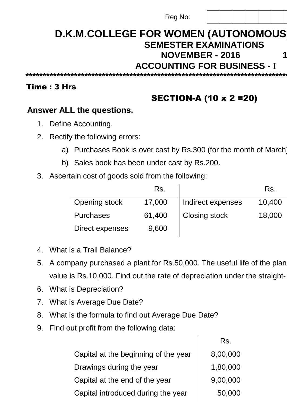| Reg No: |  |  |  |  |  |  |
|---------|--|--|--|--|--|--|
|---------|--|--|--|--|--|--|

# **D.K.M.COLLEGE FOR WOMEN (AUTONOMOUS) SEMESTER EXAMINATIONS NOVEMBER - 2016 15CACCO1A ACCOUNTING FOR BUSINESS -**

**\*\*\*\*\*\*\*\*\*\*\*\*\*\*\*\*\*\*\*\*\*\*\*\*\*\*\*\*\*\*\*\*\*\*\*\*\*\*\*\*\*\*\*\*\*\*\*\*\*\*\*\*\*\*\*\*\*\*\*\*\*\*\*\*\*\*\*\*\*\*\*\*\*\*\*\*\*\*\*\*\*\*\*\*\*\*\*\*\*\*\*\*\*\*\*\*\*\*\*\*\*\*\***

#### Time : 3 Hrs

## SECTION-A (10 x 2 =20)

#### **Answer ALL the questions.**

- 1. Define Accounting.
- 2. Rectify the following errors:
	- a) Purchases Book is over cast by Rs.300 (for the month of March)
	- b) Sales book has been under cast by Rs.200.
- 3. Ascertain cost of goods sold from the following:

|                  | Rs.    |                   | Rs.    |
|------------------|--------|-------------------|--------|
| Opening stock    | 17,000 | Indirect expenses | 10,400 |
| <b>Purchases</b> | 61,400 | Closing stock     | 18,000 |
| Direct expenses  | 9,600  |                   |        |

- 4. What is a Trail Balance?
- 5. A company purchased a plant for Rs.50,000. The useful life of the plan value is Rs.10,000. Find out the rate of depreciation under the straight-
- 6. What is Depreciation?
- 7. What is Average Due Date?
- 8. What is the formula to find out Average Due Date?
- 9. Find out profit from the following data:

|                                      | Rs.      |
|--------------------------------------|----------|
| Capital at the beginning of the year | 8,00,000 |
| Drawings during the year             | 1,80,000 |
| Capital at the end of the year       | 9,00,000 |
| Capital introduced during the year   | 50,000   |
|                                      |          |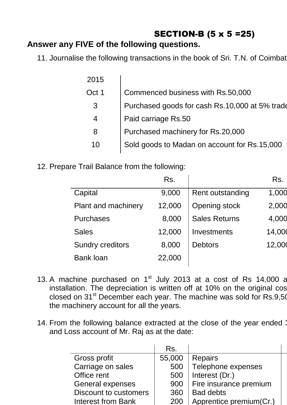# SECTION-B (5 x 5 =25)

### **Answer any FIVE of the following questions.**

11. Journalise the following transactions in the book of Sri. T.N. of Coimbat

| 2015  |                                                |
|-------|------------------------------------------------|
| Oct 1 | Commenced business with Rs.50,000              |
| 3     | Purchased goods for cash Rs.10,000 at 5% trade |
| 4     | Paid carriage Rs.50                            |
| 8     | Purchased machinery for Rs.20,000              |
| 10    | Sold goods to Madan on account for Rs.15,000   |

12. Prepare Trail Balance from the following:

|                            | Rs.    |                      | Rs.    |
|----------------------------|--------|----------------------|--------|
| Capital                    | 9,000  | Rent outstanding     | 1,000  |
| <b>Plant and machinery</b> | 12,000 | Opening stock        | 2,000  |
| <b>Purchases</b>           | 8,000  | <b>Sales Returns</b> | 4,000  |
| <b>Sales</b>               | 12,000 | Investments          | 14,000 |
| <b>Sundry creditors</b>    | 8,000  | <b>Debtors</b>       | 12,000 |
| <b>Bank loan</b>           | 22,000 |                      |        |
|                            |        |                      |        |

- 13. A machine purchased on  $1<sup>st</sup>$  July 2013 at a cost of Rs 14,000 a installation. The depreciation is written off at 10% on the original cos closed on 31<sup>st</sup> December each year. The machine was sold for Rs.9,50 the machinery account for all the years.
- 14. From the following balance extracted at the close of the year ended 3 and Loss account of Mr. Raj as at the date:

|                              | Rs.    |                         |
|------------------------------|--------|-------------------------|
| Gross profit                 | 55,000 | <b>Repairs</b>          |
| Carriage on sales            | 500    | Telephone expenses      |
| Office rent                  | 500    | Interest (Dr.)          |
| <b>General expenses</b>      | 900    | Fire insurance premium  |
| <b>Discount to customers</b> | 360    | <b>Bad debts</b>        |
| <b>Interest from Bank</b>    | 200    | Apprentice premium(Cr.) |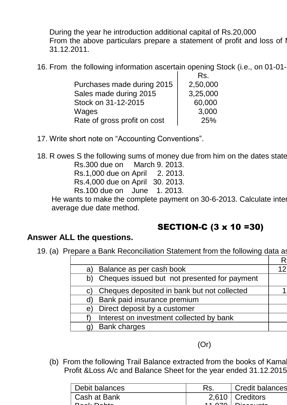During the year he introduction additional capital of Rs.20,000 From the above particulars prepare a statement of profit and loss of I 31.12.2011.

16. From the following information ascertain opening Stock (i.e., on 01-01-

|                              | Rs.      |
|------------------------------|----------|
| Purchases made during 2015   | 2,50,000 |
| Sales made during 2015       | 3,25,000 |
| Stock on 31-12-2015          | 60,000   |
| Wages                        | 3,000    |
| Rate of gross profit on cost | 25%      |

17. Write short note on "Accounting Conventions".

18. R owes S the following sums of money due from him on the dates state Rs.300 due on March 9. 2013. Rs.1,000 due on April 2. 2013.

Rs.4,000 due on April 30. 2013.

Rs.100 due on June 1. 2013.

He wants to make the complete payment on 30-6-2013. Calculate inter average due date method.

# SECTION-C (3 x 10 =30)

### **Answer ALL the questions.**

19. (a) Prepare a Bank Reconciliation Statement from the following data as

| Balance as per cash book<br>a)                  |  |
|-------------------------------------------------|--|
| b) Cheques issued but not presented for payment |  |
| Cheques deposited in bank but not collected     |  |
| Bank paid insurance premium<br>d)               |  |
| Direct deposit by a customer<br>e)              |  |
| Interest on investment collected by bank        |  |
| <b>Bank charges</b>                             |  |
|                                                 |  |

(Or)

(b) From the following Trail Balance extracted from the books of Kama Profit &Loss A/c and Balance Sheet for the year ended 31.12.2015.

| Debit balances | <b>Credit balances</b> |
|----------------|------------------------|
| Cash at Bank   | $2,610$   Creditors    |
| Daal Dahte     | $AB$ $CD$ $AD$ $Dia$   |